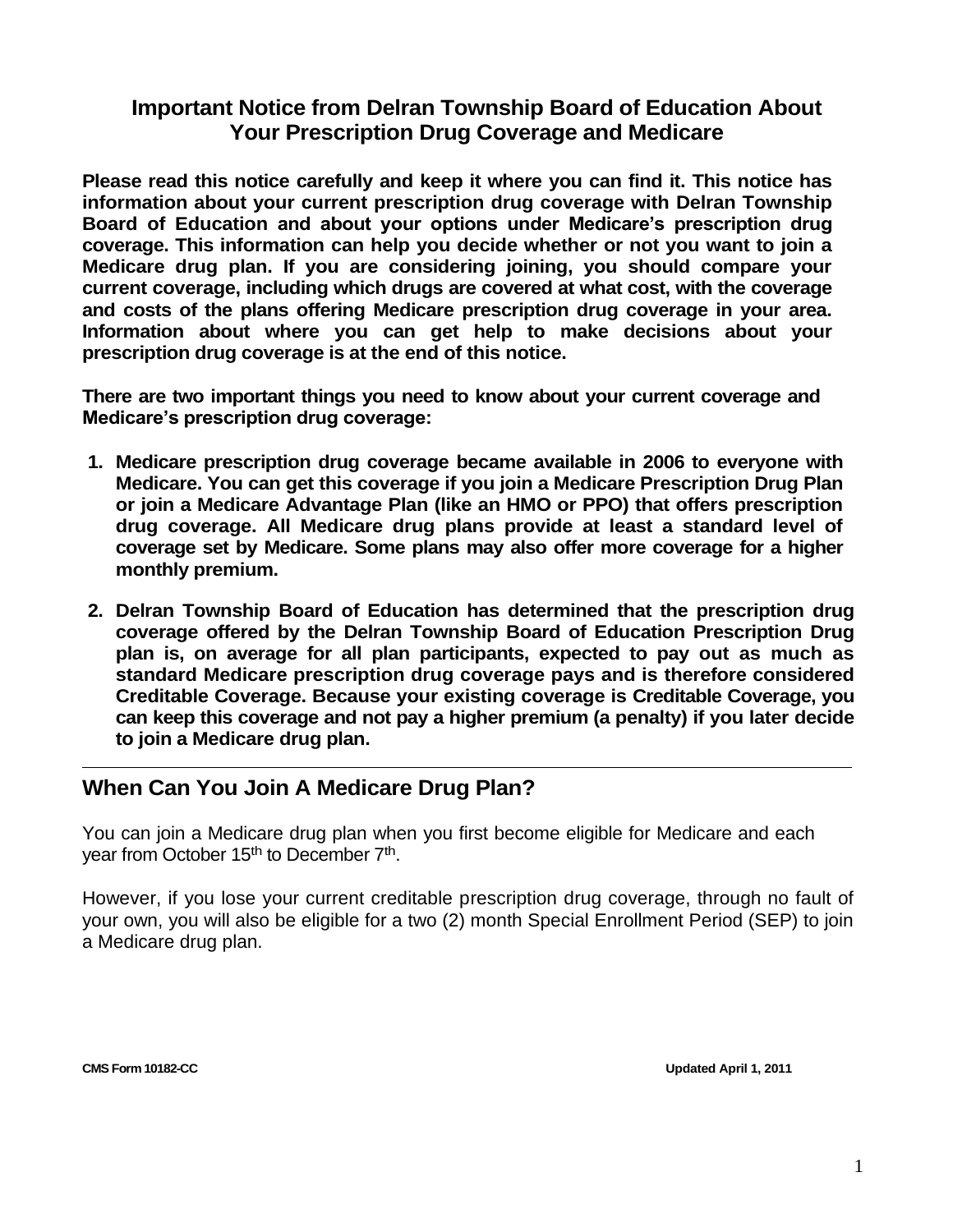### **Important Notice from Delran Township Board of Education About Your Prescription Drug Coverage and Medicare**

**Please read this notice carefully and keep it where you can find it. This notice has information about your current prescription drug coverage with Delran Township Board of Education and about your options under Medicare's prescription drug coverage. This information can help you decide whether or not you want to join a Medicare drug plan. If you are considering joining, you should compare your current coverage, including which drugs are covered at what cost, with the coverage and costs of the plans offering Medicare prescription drug coverage in your area. Information about where you can get help to make decisions about your prescription drug coverage is at the end of this notice.**

**There are two important things you need to know about your current coverage and Medicare's prescription drug coverage:**

- **1. Medicare prescription drug coverage became available in 2006 to everyone with Medicare. You can get this coverage if you join a Medicare Prescription Drug Plan or join a Medicare Advantage Plan (like an HMO or PPO) that offers prescription drug coverage. All Medicare drug plans provide at least a standard level of coverage set by Medicare. Some plans may also offer more coverage for a higher monthly premium.**
- **2. Delran Township Board of Education has determined that the prescription drug coverage offered by the Delran Township Board of Education Prescription Drug plan is, on average for all plan participants, expected to pay out as much as standard Medicare prescription drug coverage pays and is therefore considered Creditable Coverage. Because your existing coverage is Creditable Coverage, you can keep this coverage and not pay a higher premium (a penalty) if you later decide to join a Medicare drug plan.**

# **When Can You Join A Medicare Drug Plan?**

You can join a Medicare drug plan when you first become eligible for Medicare and each year from October 15<sup>th</sup> to December 7<sup>th</sup>.

However, if you lose your current creditable prescription drug coverage, through no fault of your own, you will also be eligible for a two (2) month Special Enrollment Period (SEP) to join a Medicare drug plan.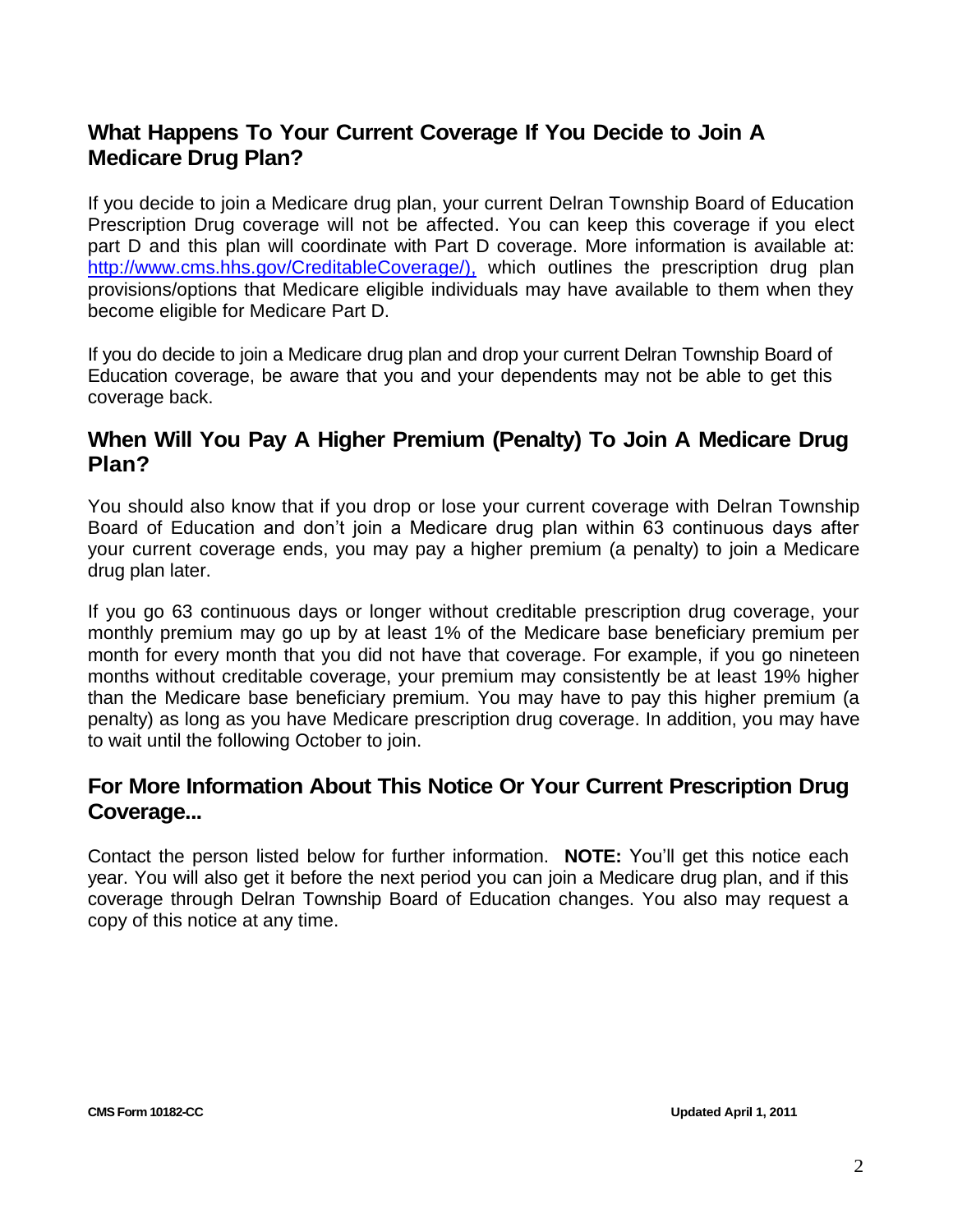# **What Happens To Your Current Coverage If You Decide to Join A Medicare Drug Plan?**

If you decide to join a Medicare drug plan, your current Delran Township Board of Education Prescription Drug coverage will not be affected. You can keep this coverage if you elect part D and this plan will coordinate with Part D coverage. More information is available at: [http://www.cms.hhs.gov/CreditableCoverage/\),](http://www.cms.hhs.gov/CreditableCoverage/),) which outlines the prescription drug plan provisions/options that Medicare eligible individuals may have available to them when they become eligible for Medicare Part D.

If you do decide to join a Medicare drug plan and drop your current Delran Township Board of Education coverage, be aware that you and your dependents may not be able to get this coverage back.

### **When Will You Pay A Higher Premium (Penalty) To Join A Medicare Drug Plan?**

You should also know that if you drop or lose your current coverage with Delran Township Board of Education and don't join a Medicare drug plan within 63 continuous days after your current coverage ends, you may pay a higher premium (a penalty) to join a Medicare drug plan later.

If you go 63 continuous days or longer without creditable prescription drug coverage, your monthly premium may go up by at least 1% of the Medicare base beneficiary premium per month for every month that you did not have that coverage. For example, if you go nineteen months without creditable coverage, your premium may consistently be at least 19% higher than the Medicare base beneficiary premium. You may have to pay this higher premium (a penalty) as long as you have Medicare prescription drug coverage. In addition, you may have to wait until the following October to join.

#### **For More Information About This Notice Or Your Current Prescription Drug Coverage...**

Contact the person listed below for further information. **NOTE:** You'll get this notice each year. You will also get it before the next period you can join a Medicare drug plan, and if this coverage through Delran Township Board of Education changes. You also may request a copy of this notice at any time.